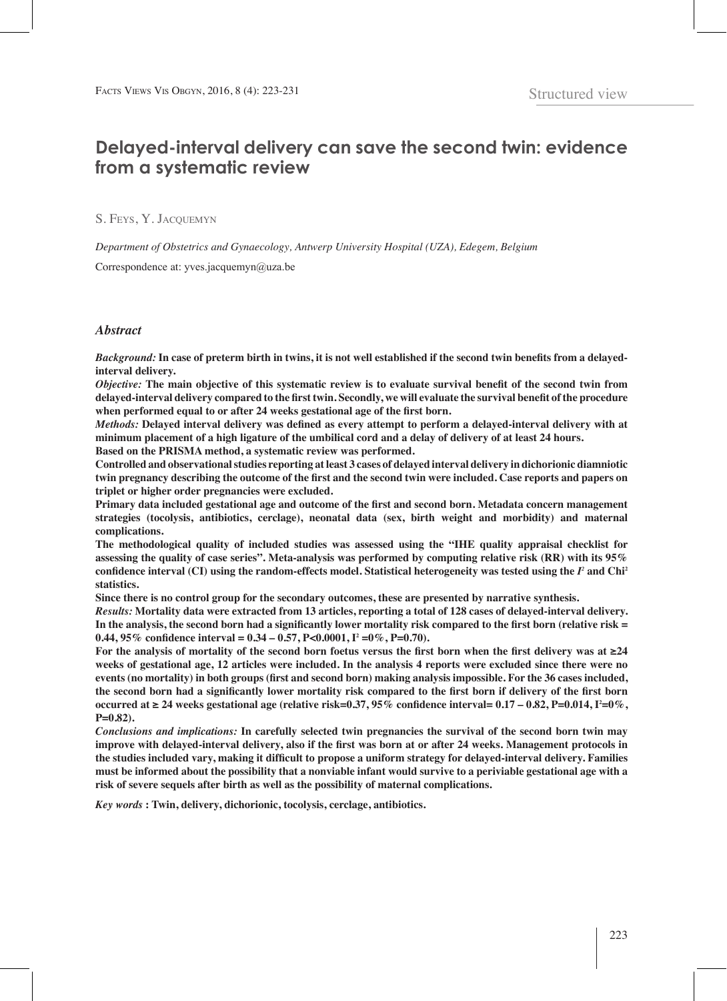# **Delayed-interval delivery can save the second twin: evidence from a systematic review**

S. Feys, Y. Jacquemyn

*Department of Obstetrics and Gynaecology, Antwerp University Hospital (UZA), Edegem, Belgium*

Correspondence at: yves.jacquemyn@uza.be

## *Abstract*

*Background:* **In case of preterm birth in twins, it is not well established if the second twin benefits from a delayedinterval delivery.**

*Objective:* **The main objective of this systematic review is to evaluate survival benefit of the second twin from delayed-interval delivery compared to the first twin. Secondly, we will evaluate the survival benefit of the procedure when performed equal to or after 24 weeks gestational age of the first born.**

*Methods:* **Delayed interval delivery was defined as every attempt to perform a delayed-interval delivery with at minimum placement of a high ligature of the umbilical cord and a delay of delivery of at least 24 hours. Based on the PRISMA method, a systematic review was performed.** 

**Controlled and observational studies reporting at least 3 cases of delayed interval delivery in dichorionic diamniotic twin pregnancy describing the outcome of the first and the second twin were included. Case reports and papers on triplet or higher order pregnancies were excluded.**

**Primary data included gestational age and outcome of the first and second born. Metadata concern management strategies (tocolysis, antibiotics, cerclage), neonatal data (sex, birth weight and morbidity) and maternal complications.**

**The methodological quality of included studies was assessed using the "IHE quality appraisal checklist for assessing the quality of case series". Meta-analysis was performed by computing relative risk (RR) with its 95% confidence interval (CI) using the random-effects model. Statistical heterogeneity was tested using the** *I2*  **and Chi<sup>2</sup> statistics.**

**Since there is no control group for the secondary outcomes, these are presented by narrative synthesis.** 

*Results:* **Mortality data were extracted from 13 articles, reporting a total of 128 cases of delayed-interval delivery. In the analysis, the second born had a significantly lower mortality risk compared to the first born (relative risk = 0.44, 95% confidence interval = 0.34 – 0.57, P<0.0001, I2 =0%, P=0.70).**

**For the analysis of mortality of the second born foetus versus the first born when the first delivery was at ≥24 weeks of gestational age, 12 articles were included. In the analysis 4 reports were excluded since there were no events (no mortality) in both groups (first and second born) making analysis impossible. For the 36 cases included, the second born had a significantly lower mortality risk compared to the first born if delivery of the first born occurred at ≥ 24 weeks gestational age (relative risk=0.37, 95% confidence interval=**  $0.17 - 0.82$ **, P=0.014, I<sup>2</sup>=0%, P=0.82).**

*Conclusions and implications:* **In carefully selected twin pregnancies the survival of the second born twin may improve with delayed-interval delivery, also if the first was born at or after 24 weeks. Management protocols in the studies included vary, making it difficult to propose a uniform strategy for delayed-interval delivery. Families must be informed about the possibility that a nonviable infant would survive to a periviable gestational age with a risk of severe sequels after birth as well as the possibility of maternal complications.**

*Key words* **: Twin, delivery, dichorionic, tocolysis, cerclage, antibiotics.**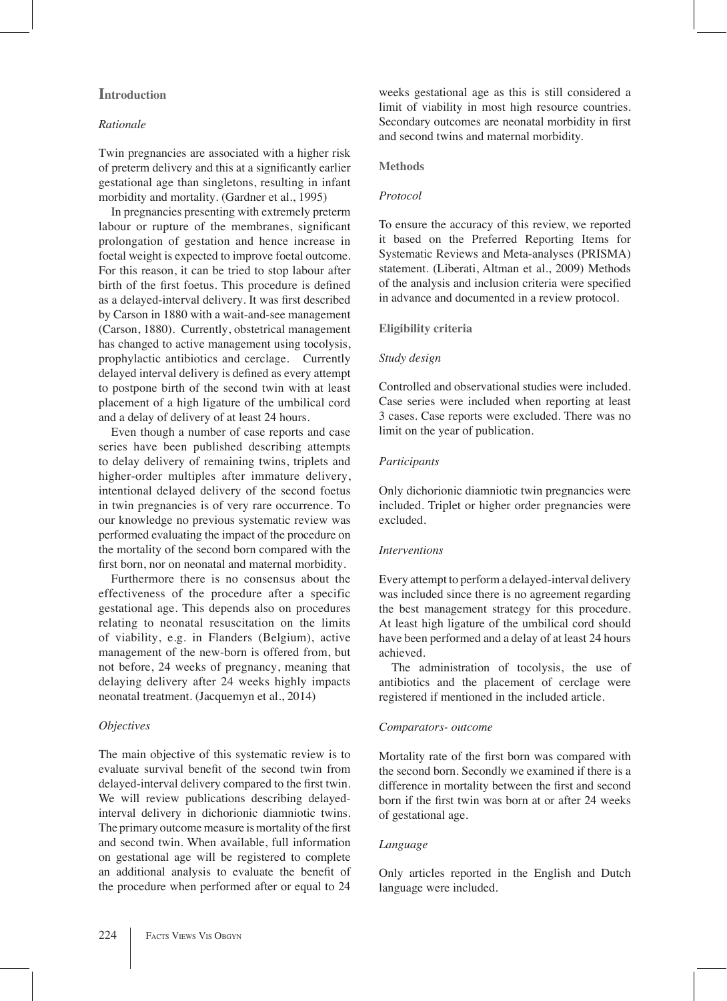# **Introduction**

# *Rationale*

Twin pregnancies are associated with a higher risk of preterm delivery and this at a significantly earlier gestational age than singletons, resulting in infant morbidity and mortality. (Gardner et al., 1995)

In pregnancies presenting with extremely preterm labour or rupture of the membranes, significant prolongation of gestation and hence increase in foetal weight is expected to improve foetal outcome. For this reason, it can be tried to stop labour after birth of the first foetus. This procedure is defined as a delayed-interval delivery. It was first described by Carson in 1880 with a wait-and-see management (Carson, 1880). Currently, obstetrical management has changed to active management using tocolysis, prophylactic antibiotics and cerclage. Currently delayed interval delivery is defined as every attempt to postpone birth of the second twin with at least placement of a high ligature of the umbilical cord and a delay of delivery of at least 24 hours.

Even though a number of case reports and case series have been published describing attempts to delay delivery of remaining twins, triplets and higher-order multiples after immature delivery, intentional delayed delivery of the second foetus in twin pregnancies is of very rare occurrence. To our knowledge no previous systematic review was performed evaluating the impact of the procedure on the mortality of the second born compared with the first born, nor on neonatal and maternal morbidity.

Furthermore there is no consensus about the effectiveness of the procedure after a specific gestational age. This depends also on procedures relating to neonatal resuscitation on the limits of viability, e.g. in Flanders (Belgium), active management of the new-born is offered from, but not before, 24 weeks of pregnancy, meaning that delaying delivery after 24 weeks highly impacts neonatal treatment. (Jacquemyn et al., 2014)

# *Objectives*

The main objective of this systematic review is to evaluate survival benefit of the second twin from delayed-interval delivery compared to the first twin. We will review publications describing delayedinterval delivery in dichorionic diamniotic twins. The primary outcome measure is mortality of the first and second twin. When available, full information on gestational age will be registered to complete an additional analysis to evaluate the benefit of the procedure when performed after or equal to 24

weeks gestational age as this is still considered a limit of viability in most high resource countries. Secondary outcomes are neonatal morbidity in first and second twins and maternal morbidity.

## **Methods**

#### *Protocol*

To ensure the accuracy of this review, we reported it based on the Preferred Reporting Items for Systematic Reviews and Meta-analyses (PRISMA) statement. (Liberati, Altman et al., 2009) Methods of the analysis and inclusion criteria were specified in advance and documented in a review protocol.

# **Eligibility criteria**

## *Study design*

Controlled and observational studies were included. Case series were included when reporting at least 3 cases. Case reports were excluded. There was no limit on the year of publication.

# *Participants*

Only dichorionic diamniotic twin pregnancies were included. Triplet or higher order pregnancies were excluded.

## *Interventions*

Every attempt to perform a delayed-interval delivery was included since there is no agreement regarding the best management strategy for this procedure. At least high ligature of the umbilical cord should have been performed and a delay of at least 24 hours achieved.

The administration of tocolysis, the use of antibiotics and the placement of cerclage were registered if mentioned in the included article.

# *Comparators- outcome*

Mortality rate of the first born was compared with the second born. Secondly we examined if there is a difference in mortality between the first and second born if the first twin was born at or after 24 weeks of gestational age.

# *Language*

Only articles reported in the English and Dutch language were included.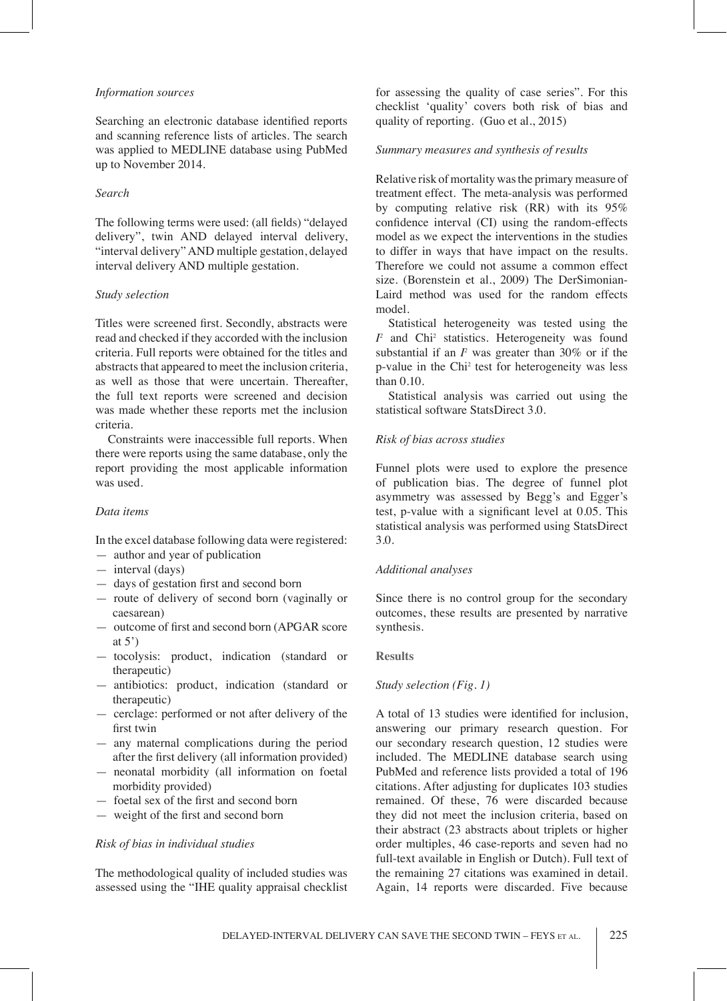#### *Information sources*

Searching an electronic database identified reports and scanning reference lists of articles. The search was applied to MEDLINE database using PubMed up to November 2014.

# *Search*

The following terms were used: (all fields) "delayed delivery", twin AND delayed interval delivery, "interval delivery" AND multiple gestation, delayed interval delivery AND multiple gestation.

## *Study selection*

Titles were screened first. Secondly, abstracts were read and checked if they accorded with the inclusion criteria. Full reports were obtained for the titles and abstracts that appeared to meet the inclusion criteria, as well as those that were uncertain. Thereafter, the full text reports were screened and decision was made whether these reports met the inclusion criteria.

Constraints were inaccessible full reports. When there were reports using the same database, only the report providing the most applicable information was used.

# *Data items*

In the excel database following data were registered:

- author and year of publication
- interval (days)
- days of gestation first and second born
- route of delivery of second born (vaginally or caesarean)
- outcome of first and second born (APGAR score at  $5'$ )
- tocolysis: product, indication (standard or therapeutic)
- antibiotics: product, indication (standard or therapeutic)
- cerclage: performed or not after delivery of the first twin
- any maternal complications during the period after the first delivery (all information provided)
- neonatal morbidity (all information on foetal morbidity provided)
- foetal sex of the first and second born
- weight of the first and second born

# *Risk of bias in individual studies*

The methodological quality of included studies was assessed using the "IHE quality appraisal checklist for assessing the quality of case series". For this checklist 'quality' covers both risk of bias and quality of reporting. (Guo et al., 2015)

# *Summary measures and synthesis of results*

Relative risk of mortality was the primary measure of treatment effect. The meta-analysis was performed by computing relative risk (RR) with its 95% confidence interval (CI) using the random-effects model as we expect the interventions in the studies to differ in ways that have impact on the results. Therefore we could not assume a common effect size. (Borenstein et al., 2009) The DerSimonian-Laird method was used for the random effects model.

Statistical heterogeneity was tested using the  $I^2$  and Chi<sup>2</sup> statistics. Heterogeneity was found substantial if an  $I^2$  was greater than 30% or if the p-value in the Chi<sup>2</sup> test for heterogeneity was less than 0.10.

Statistical analysis was carried out using the statistical software StatsDirect 3.0.

#### *Risk of bias across studies*

Funnel plots were used to explore the presence of publication bias. The degree of funnel plot asymmetry was assessed by Begg's and Egger's test, p-value with a significant level at 0.05. This statistical analysis was performed using StatsDirect 3.0.

# *Additional analyses*

Since there is no control group for the secondary outcomes, these results are presented by narrative synthesis.

#### **Results**

# *Study selection (Fig. 1)*

A total of 13 studies were identified for inclusion, answering our primary research question. For our secondary research question, 12 studies were included. The MEDLINE database search using PubMed and reference lists provided a total of 196 citations. After adjusting for duplicates 103 studies remained. Of these, 76 were discarded because they did not meet the inclusion criteria, based on their abstract (23 abstracts about triplets or higher order multiples, 46 case-reports and seven had no full-text available in English or Dutch). Full text of the remaining 27 citations was examined in detail. Again, 14 reports were discarded. Five because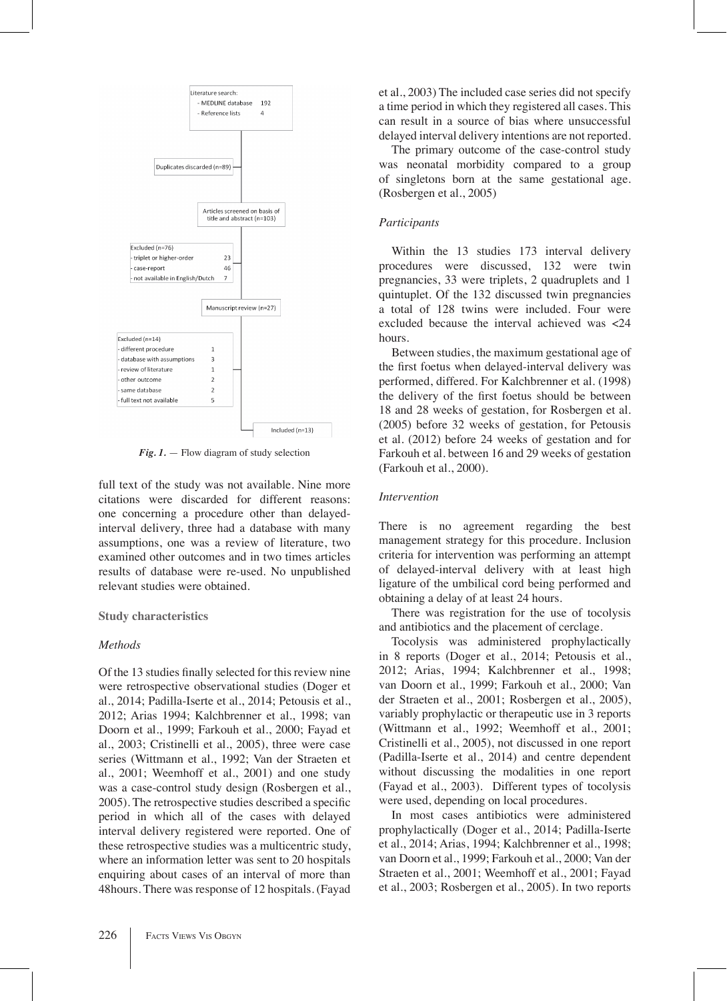

*Fig. 1.* — Flow diagram of study selection

full text of the study was not available. Nine more citations were discarded for different reasons: one concerning a procedure other than delayedinterval delivery, three had a database with many assumptions, one was a review of literature, two examined other outcomes and in two times articles results of database were re-used. No unpublished relevant studies were obtained.

#### **Study characteristics**

#### *Methods*

Of the 13 studies finally selected for this review nine were retrospective observational studies (Doger et al., 2014; Padilla-Iserte et al., 2014; Petousis et al., 2012; Arias 1994; Kalchbrenner et al., 1998; van Doorn et al., 1999; Farkouh et al., 2000; Fayad et al., 2003; Cristinelli et al., 2005), three were case series (Wittmann et al., 1992; Van der Straeten et al., 2001; Weemhoff et al., 2001) and one study was a case-control study design (Rosbergen et al., 2005). The retrospective studies described a specific period in which all of the cases with delayed interval delivery registered were reported. One of these retrospective studies was a multicentric study, where an information letter was sent to 20 hospitals enquiring about cases of an interval of more than 48hours. There was response of 12 hospitals. (Fayad

et al., 2003) The included case series did not specify a time period in which they registered all cases. This can result in a source of bias where unsuccessful delayed interval delivery intentions are not reported.

The primary outcome of the case-control study was neonatal morbidity compared to a group of singletons born at the same gestational age. (Rosbergen et al., 2005)

# *Participants*

Within the 13 studies 173 interval delivery procedures were discussed, 132 were twin pregnancies, 33 were triplets, 2 quadruplets and 1 quintuplet. Of the 132 discussed twin pregnancies a total of 128 twins were included. Four were excluded because the interval achieved was <24 hours.

Between studies, the maximum gestational age of the first foetus when delayed-interval delivery was performed, differed. For Kalchbrenner et al. (1998) the delivery of the first foetus should be between 18 and 28 weeks of gestation, for Rosbergen et al. (2005) before 32 weeks of gestation, for Petousis et al. (2012) before 24 weeks of gestation and for Farkouh et al. between 16 and 29 weeks of gestation (Farkouh et al., 2000).

# *Intervention*

There is no agreement regarding the best management strategy for this procedure. Inclusion criteria for intervention was performing an attempt of delayed-interval delivery with at least high ligature of the umbilical cord being performed and obtaining a delay of at least 24 hours.

There was registration for the use of tocolysis and antibiotics and the placement of cerclage.

Tocolysis was administered prophylactically in 8 reports (Doger et al., 2014; Petousis et al., 2012; Arias, 1994; Kalchbrenner et al., 1998; van Doorn et al., 1999; Farkouh et al., 2000; Van der Straeten et al., 2001; Rosbergen et al., 2005), variably prophylactic or therapeutic use in 3 reports (Wittmann et al., 1992; Weemhoff et al., 2001; Cristinelli et al., 2005), not discussed in one report (Padilla-Iserte et al., 2014) and centre dependent without discussing the modalities in one report (Fayad et al., 2003). Different types of tocolysis were used, depending on local procedures.

In most cases antibiotics were administered prophylactically (Doger et al., 2014; Padilla-Iserte et al., 2014; Arias, 1994; Kalchbrenner et al., 1998; van Doorn et al., 1999; Farkouh et al., 2000; Van der Straeten et al., 2001; Weemhoff et al., 2001; Fayad et al., 2003; Rosbergen et al., 2005). In two reports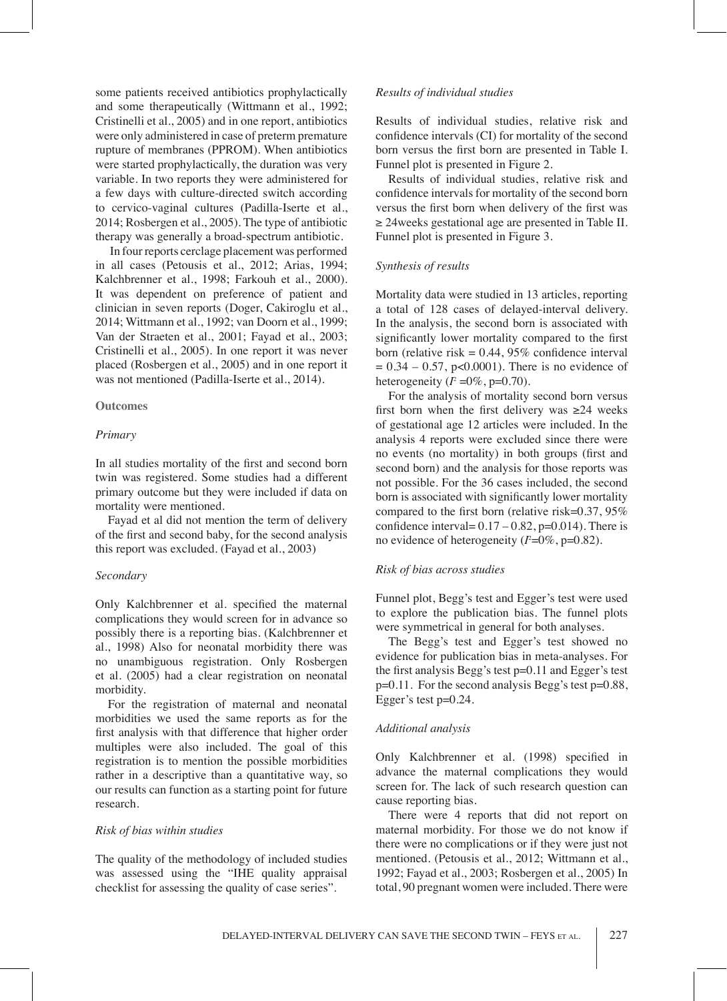some patients received antibiotics prophylactically and some therapeutically (Wittmann et al., 1992; Cristinelli et al., 2005) and in one report, antibiotics were only administered in case of preterm premature rupture of membranes (PPROM). When antibiotics were started prophylactically, the duration was very variable. In two reports they were administered for a few days with culture-directed switch according to cervico-vaginal cultures (Padilla-Iserte et al., 2014; Rosbergen et al., 2005). The type of antibiotic therapy was generally a broad-spectrum antibiotic.

 In four reports cerclage placement was performed in all cases (Petousis et al., 2012; Arias, 1994; Kalchbrenner et al., 1998; Farkouh et al., 2000). It was dependent on preference of patient and clinician in seven reports (Doger, Cakiroglu et al., 2014; Wittmann et al., 1992; van Doorn et al., 1999; Van der Straeten et al., 2001; Fayad et al., 2003; Cristinelli et al., 2005). In one report it was never placed (Rosbergen et al., 2005) and in one report it was not mentioned (Padilla-Iserte et al., 2014).

## **Outcomes**

# *Primary*

In all studies mortality of the first and second born twin was registered. Some studies had a different primary outcome but they were included if data on mortality were mentioned.

Fayad et al did not mention the term of delivery of the first and second baby, for the second analysis this report was excluded. (Fayad et al., 2003)

#### *Secondary*

Only Kalchbrenner et al. specified the maternal complications they would screen for in advance so possibly there is a reporting bias. (Kalchbrenner et al., 1998) Also for neonatal morbidity there was no unambiguous registration. Only Rosbergen et al. (2005) had a clear registration on neonatal morbidity.

For the registration of maternal and neonatal morbidities we used the same reports as for the first analysis with that difference that higher order multiples were also included. The goal of this registration is to mention the possible morbidities rather in a descriptive than a quantitative way, so our results can function as a starting point for future research.

## *Risk of bias within studies*

The quality of the methodology of included studies was assessed using the "IHE quality appraisal checklist for assessing the quality of case series".

#### *Results of individual studies*

Results of individual studies, relative risk and confidence intervals (CI) for mortality of the second born versus the first born are presented in Table I. Funnel plot is presented in Figure 2.

Results of individual studies, relative risk and confidence intervals for mortality of the second born versus the first born when delivery of the first was ≥ 24weeks gestational age are presented in Table II. Funnel plot is presented in Figure 3.

#### *Synthesis of results*

Mortality data were studied in 13 articles, reporting a total of 128 cases of delayed-interval delivery. In the analysis, the second born is associated with significantly lower mortality compared to the first born (relative risk  $= 0.44, 95\%$  confidence interval  $= 0.34 - 0.57$ , p<0.0001). There is no evidence of heterogeneity  $(I^2 = 0\%, p=0.70)$ .

For the analysis of mortality second born versus first born when the first delivery was  $\geq 24$  weeks of gestational age 12 articles were included. In the analysis 4 reports were excluded since there were no events (no mortality) in both groups (first and second born) and the analysis for those reports was not possible. For the 36 cases included, the second born is associated with significantly lower mortality compared to the first born (relative risk=0.37, 95% confidence interval=  $0.17 - 0.82$ , p=0.014). There is no evidence of heterogeneity ( $l^2$ =0%, p=0.82).

#### *Risk of bias across studies*

Funnel plot, Begg's test and Egger's test were used to explore the publication bias. The funnel plots were symmetrical in general for both analyses.

The Begg's test and Egger's test showed no evidence for publication bias in meta-analyses. For the first analysis Begg's test p=0.11 and Egger's test p=0.11. For the second analysis Begg's test p=0.88, Egger's test p=0.24.

# *Additional analysis*

Only Kalchbrenner et al. (1998) specified in advance the maternal complications they would screen for. The lack of such research question can cause reporting bias.

There were 4 reports that did not report on maternal morbidity. For those we do not know if there were no complications or if they were just not mentioned. (Petousis et al., 2012; Wittmann et al., 1992; Fayad et al., 2003; Rosbergen et al., 2005) In total, 90 pregnant women were included. There were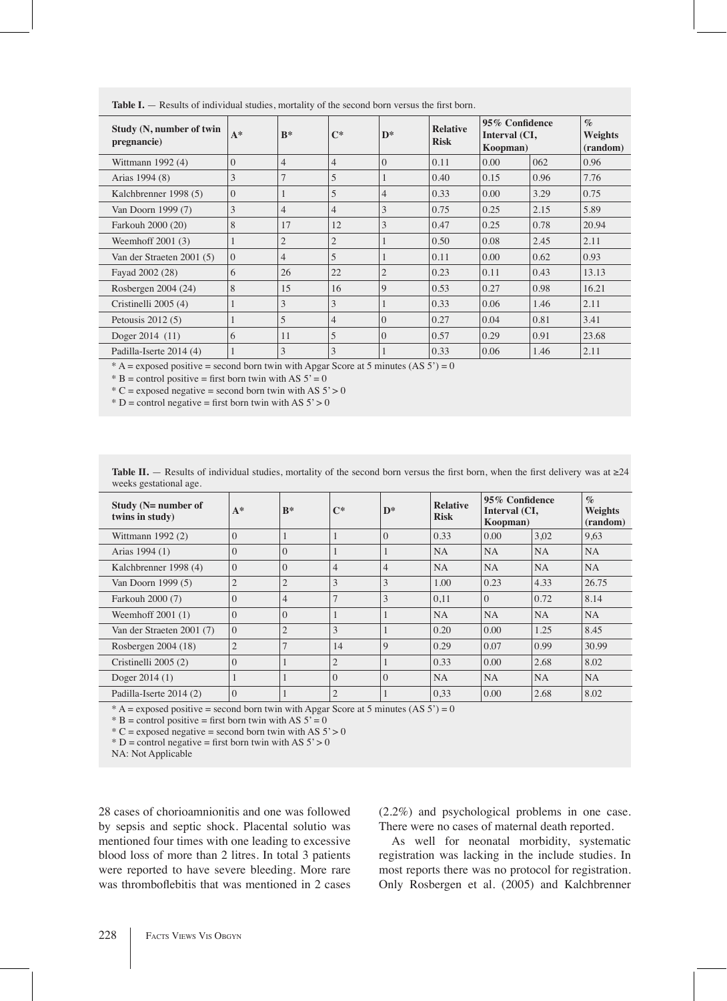| Study (N, number of twin<br>pregnancie) | $A^*$        | $B^*$          | $C^*$          | $\mathbf{D}^*$ | <b>Relative</b><br><b>Risk</b> | 95% Confidence<br>Interval (CI,<br>Koopman) |      | $\mathcal{O}_0$<br>Weights<br>(random) |
|-----------------------------------------|--------------|----------------|----------------|----------------|--------------------------------|---------------------------------------------|------|----------------------------------------|
| Wittmann 1992 (4)                       | $\Omega$     | $\overline{4}$ | $\overline{4}$ | $\Omega$       | 0.11                           | 0.00                                        | 062  | 0.96                                   |
| Arias 1994 (8)                          | 3            | $\overline{7}$ | 5              |                | 0.40                           | 0.15                                        | 0.96 | 7.76                                   |
| Kalchbrenner 1998 (5)                   | $\Omega$     |                | 5              | $\overline{4}$ | 0.33                           | 0.00                                        | 3.29 | 0.75                                   |
| Van Doorn 1999 (7)                      | 3            | $\overline{4}$ | $\overline{4}$ | 3              | 0.75                           | 0.25                                        | 2.15 | 5.89                                   |
| Farkouh 2000 (20)                       | 8            | 17             | 12             | 3              | 0.47                           | 0.25                                        | 0.78 | 20.94                                  |
| Weemhoff $2001(3)$                      | $\mathbf{1}$ | $\mathfrak{2}$ | $\overline{c}$ |                | 0.50                           | 0.08                                        | 2.45 | 2.11                                   |
| Van der Straeten 2001 (5)               | $\Omega$     | $\overline{4}$ | 5              |                | 0.11                           | 0.00                                        | 0.62 | 0.93                                   |
| Fayad 2002 (28)                         | 6            | 26             | 22             | $\mathfrak{2}$ | 0.23                           | 0.11                                        | 0.43 | 13.13                                  |
| Rosbergen 2004 (24)                     | 8            | 15             | 16             | 9              | 0.53                           | 0.27                                        | 0.98 | 16.21                                  |
| Cristinelli 2005 (4)                    | 1            | 3              | 3              |                | 0.33                           | 0.06                                        | 1.46 | 2.11                                   |
| Petousis $2012(5)$                      | 1            | 5              | $\overline{4}$ | $\overline{0}$ | 0.27                           | 0.04                                        | 0.81 | 3.41                                   |
| Doger 2014 (11)                         | 6            | 11             | 5              | $\overline{0}$ | 0.57                           | 0.29                                        | 0.91 | 23.68                                  |
| Padilla-Iserte 2014 (4)                 |              | 3              | 3              |                | 0.33                           | 0.06                                        | 1.46 | 2.11                                   |

Table I. - Results of individual studies, mortality of the second born versus the first born.

\* A = exposed positive = second born twin with Apgar Score at 5 minutes (AS  $5$ ) = 0

\* B = control positive = first born twin with AS  $5' = 0$ 

 $*C$  = exposed negative = second born twin with AS  $5' > 0$ 

\* D = control negative = first born twin with AS  $5' > 0$ 

| Study ( $N=$ number of<br>twins in study) | $A^*$          | $B^*$          | $\mathbb{C}^*$ | $\mathbf{D}^*$ | <b>Relative</b><br><b>Risk</b> | 95% Confidence<br>Interval (CI,<br>Koopman) |           | $\%$<br>Weights<br>(random) |
|-------------------------------------------|----------------|----------------|----------------|----------------|--------------------------------|---------------------------------------------|-----------|-----------------------------|
| Wittmann 1992 (2)                         | $\theta$       |                |                | $\Omega$       | 0.33                           | 0.00                                        | 3,02      | 9,63                        |
| Arias 1994 (1)                            | $\theta$       | $\Omega$       |                |                | <b>NA</b>                      | <b>NA</b>                                   | <b>NA</b> | NA                          |
| Kalchbrenner 1998 (4)                     | $\Omega$       | $\Omega$       | $\overline{4}$ | $\overline{4}$ | <b>NA</b>                      | <b>NA</b>                                   | <b>NA</b> | NA                          |
| Van Doorn 1999 (5)                        | $\overline{2}$ | $\overline{2}$ | 3              | 3              | 1.00                           | 0.23                                        | 4.33      | 26.75                       |
| Farkouh 2000 (7)                          | $\theta$       | $\overline{4}$ | $\mathcal{I}$  | 3              | 0,11                           | $\Omega$                                    | 0.72      | 8.14                        |
| Weemhoff $2001(1)$                        | $\theta$       | $\Omega$       |                |                | <b>NA</b>                      | <b>NA</b>                                   | <b>NA</b> | NA                          |
| Van der Straeten 2001 (7)                 | $\Omega$       | $\overline{2}$ | 3              |                | 0.20                           | 0.00                                        | 1.25      | 8.45                        |
| Rosbergen 2004 (18)                       | $\overline{2}$ | 7              | 14             | $\mathbf Q$    | 0.29                           | 0.07                                        | 0.99      | 30.99                       |
| Cristinelli 2005 (2)                      | $\theta$       |                | $\overline{2}$ |                | 0.33                           | 0.00                                        | 2.68      | 8.02                        |
| Doger $2014(1)$                           |                |                | $\Omega$       | $\Omega$       | <b>NA</b>                      | <b>NA</b>                                   | <b>NA</b> | <b>NA</b>                   |
| Padilla-Iserte 2014 (2)                   | $\overline{0}$ |                | $\overline{2}$ |                | 0,33                           | 0.00                                        | 2.68      | 8.02                        |

Table II. — Results of individual studies, mortality of the second born versus the first born, when the first delivery was at ≥24 weeks gestational age.

 $* A =$  exposed positive = second born twin with Apgar Score at 5 minutes (AS  $5$ ) = 0

\* B = control positive = first born twin with AS  $5' = 0$ 

\* C = exposed negative = second born twin with AS  $5' > 0$ 

\* D = control negative = first born twin with AS  $5' > 0$ 

NA: Not Applicable

28 cases of chorioamnionitis and one was followed by sepsis and septic shock. Placental solutio was mentioned four times with one leading to excessive blood loss of more than 2 litres. In total 3 patients were reported to have severe bleeding. More rare was thromboflebitis that was mentioned in 2 cases

(2.2%) and psychological problems in one case. There were no cases of maternal death reported.

As well for neonatal morbidity, systematic registration was lacking in the include studies. In most reports there was no protocol for registration. Only Rosbergen et al. (2005) and Kalchbrenner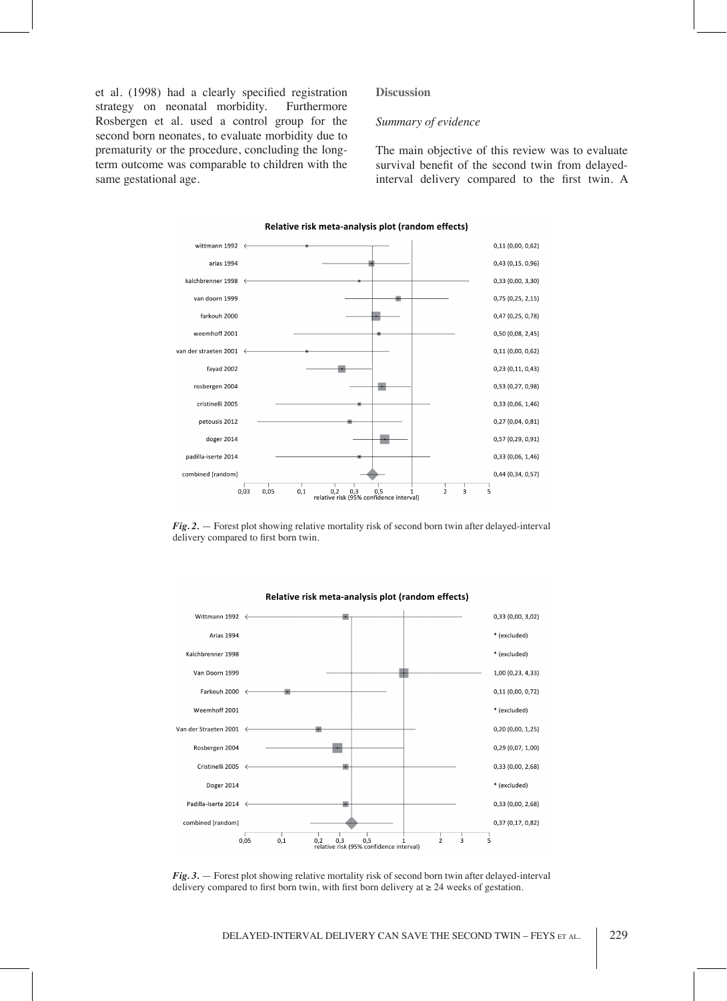et al. (1998) had a clearly specified registration strategy on neonatal morbidity. Furthermore Rosbergen et al. used a control group for the second born neonates, to evaluate morbidity due to prematurity or the procedure, concluding the longterm outcome was comparable to children with the same gestational age.

#### **Discussion**

# *Summary of evidence*

The main objective of this review was to evaluate survival benefit of the second twin from delayedinterval delivery compared to the first twin. A



Relative risk meta-analysis plot (random effects)

*Fig. 2.* — Forest plot showing relative mortality risk of second born twin after delayed-interval delivery compared to first born twin.



Relative risk meta-analysis plot (random effects)

*Fig. 3.* — Forest plot showing relative mortality risk of second born twin after delayed-interval delivery compared to first born twin, with first born delivery at  $\geq 24$  weeks of gestation.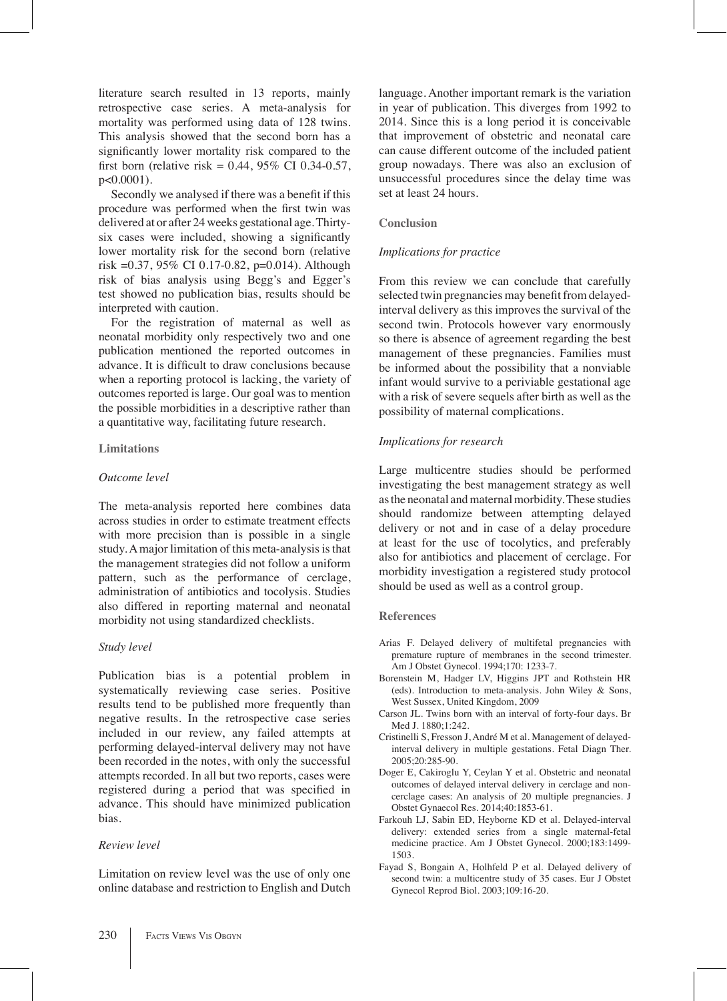literature search resulted in 13 reports, mainly retrospective case series. A meta-analysis for mortality was performed using data of 128 twins. This analysis showed that the second born has a significantly lower mortality risk compared to the first born (relative risk =  $0.44$ , 95% CI 0.34-0.57, p<0.0001).

Secondly we analysed if there was a benefit if this procedure was performed when the first twin was delivered at or after 24 weeks gestational age. Thirtysix cases were included, showing a significantly lower mortality risk for the second born (relative risk =0.37, 95% CI 0.17-0.82, p=0.014). Although risk of bias analysis using Begg's and Egger's test showed no publication bias, results should be interpreted with caution.

For the registration of maternal as well as neonatal morbidity only respectively two and one publication mentioned the reported outcomes in advance. It is difficult to draw conclusions because when a reporting protocol is lacking, the variety of outcomes reported is large. Our goal was to mention the possible morbidities in a descriptive rather than a quantitative way, facilitating future research.

## **Limitations**

# *Outcome level*

The meta-analysis reported here combines data across studies in order to estimate treatment effects with more precision than is possible in a single study. A major limitation of this meta-analysis is that the management strategies did not follow a uniform pattern, such as the performance of cerclage, administration of antibiotics and tocolysis. Studies also differed in reporting maternal and neonatal morbidity not using standardized checklists.

## *Study level*

Publication bias is a potential problem in systematically reviewing case series. Positive results tend to be published more frequently than negative results. In the retrospective case series included in our review, any failed attempts at performing delayed-interval delivery may not have been recorded in the notes, with only the successful attempts recorded. In all but two reports, cases were registered during a period that was specified in advance. This should have minimized publication bias.

# *Review level*

Limitation on review level was the use of only one online database and restriction to English and Dutch language. Another important remark is the variation in year of publication. This diverges from 1992 to 2014. Since this is a long period it is conceivable that improvement of obstetric and neonatal care can cause different outcome of the included patient group nowadays. There was also an exclusion of unsuccessful procedures since the delay time was set at least 24 hours.

# **Conclusion**

## *Implications for practice*

From this review we can conclude that carefully selected twin pregnancies may benefit from delayedinterval delivery as this improves the survival of the second twin. Protocols however vary enormously so there is absence of agreement regarding the best management of these pregnancies. Families must be informed about the possibility that a nonviable infant would survive to a periviable gestational age with a risk of severe sequels after birth as well as the possibility of maternal complications.

# *Implications for research*

Large multicentre studies should be performed investigating the best management strategy as well as the neonatal and maternal morbidity. These studies should randomize between attempting delayed delivery or not and in case of a delay procedure at least for the use of tocolytics, and preferably also for antibiotics and placement of cerclage. For morbidity investigation a registered study protocol should be used as well as a control group.

#### **References**

- Arias F. Delayed delivery of multifetal pregnancies with premature rupture of membranes in the second trimester. Am J Obstet Gynecol. 1994;170: 1233-7.
- Borenstein M, Hadger LV, Higgins JPT and Rothstein HR (eds). Introduction to meta-analysis. John Wiley & Sons, West Sussex, United Kingdom, 2009
- Carson JL. Twins born with an interval of forty-four days. Br Med J. 1880;1:242.
- Cristinelli S, Fresson J, André M et al. Management of delayedinterval delivery in multiple gestations. Fetal Diagn Ther. 2005;20:285-90.
- Doger E, Cakiroglu Y, Ceylan Y et al. Obstetric and neonatal outcomes of delayed interval delivery in cerclage and noncerclage cases: An analysis of 20 multiple pregnancies. J Obstet Gynaecol Res. 2014;40:1853-61.
- Farkouh LJ, Sabin ED, Heyborne KD et al. Delayed-interval delivery: extended series from a single maternal-fetal medicine practice. Am J Obstet Gynecol. 2000;183:1499- 1503.
- Fayad S, Bongain A, Holhfeld P et al. Delayed delivery of second twin: a multicentre study of 35 cases. Eur J Obstet Gynecol Reprod Biol. 2003;109:16-20.